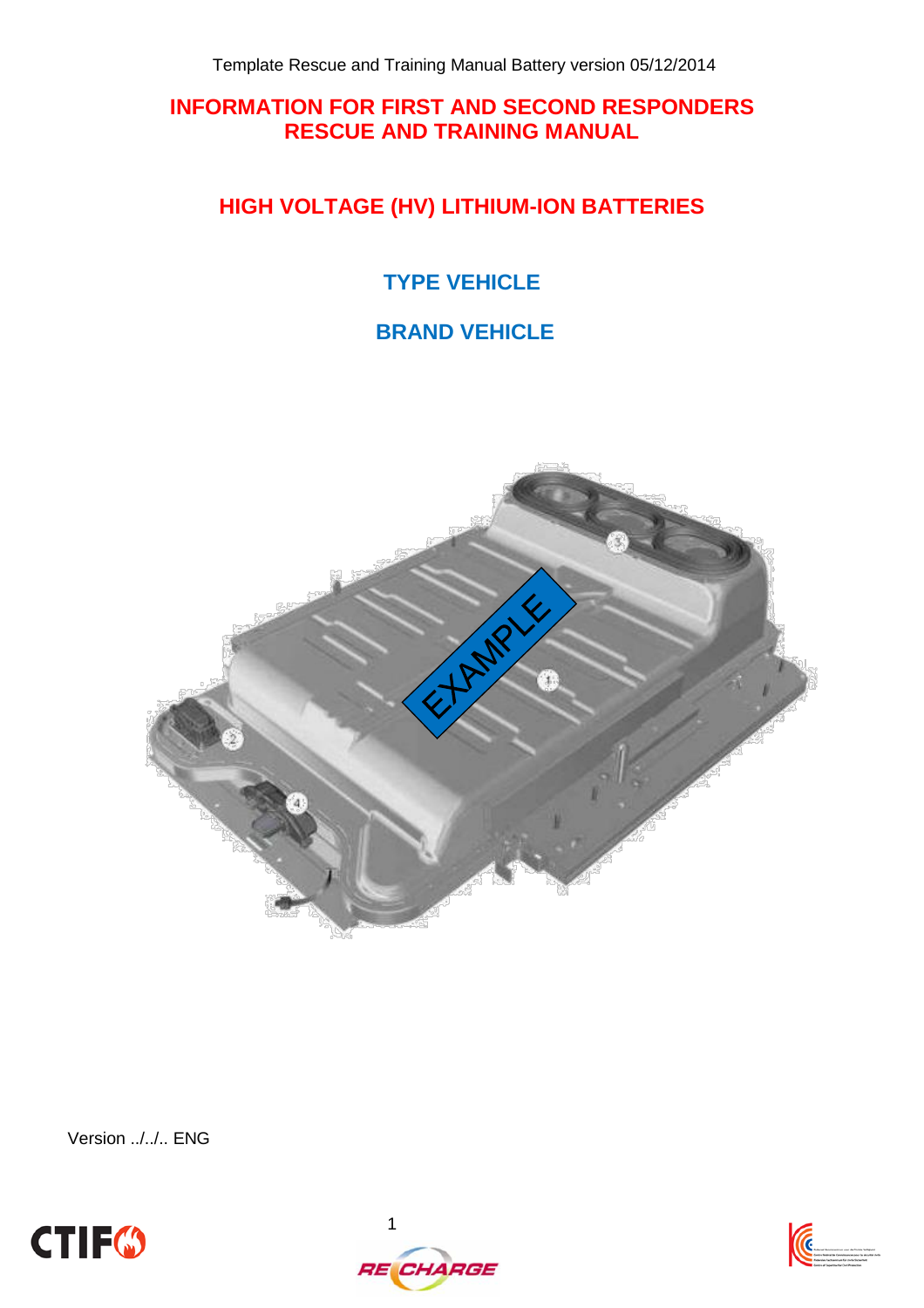## **INFORMATION FOR FIRST AND SECOND RESPONDERS RESCUE AND TRAINING MANUAL**

# **HIGH VOLTAGE (HV) LITHIUM-ION BATTERIES**

# **TYPE VEHICLE**

# **BRAND VEHICLE**



Version ../../.. ENG





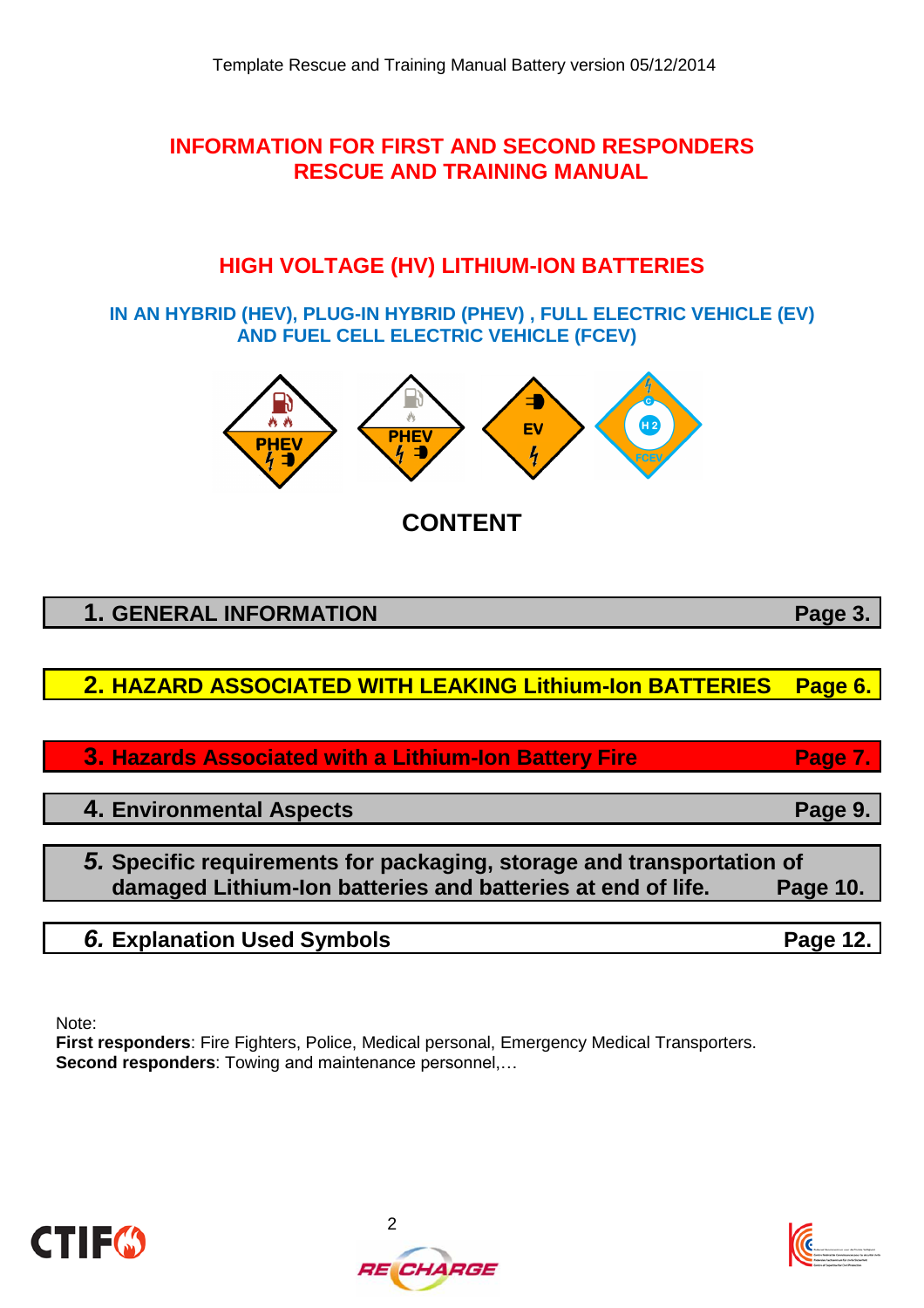## **INFORMATION FOR FIRST AND SECOND RESPONDERS RESCUE AND TRAINING MANUAL**

# **HIGH VOLTAGE (HV) LITHIUM-ION BATTERIES**

**IN AN HYBRID (HEV), PLUG-IN HYBRID (PHEV) , FULL ELECTRIC VEHICLE (EV) AND FUEL CELL ELECTRIC VEHICLE (FCEV)**



**CONTENT**

| <b>1. GENERAL INFORMATION</b>                                                                                                        | Page 3.  |
|--------------------------------------------------------------------------------------------------------------------------------------|----------|
|                                                                                                                                      |          |
| 2. HAZARD ASSOCIATED WITH LEAKING Lithium-Ion BATTERIES                                                                              | Page 6.  |
|                                                                                                                                      |          |
| 3. Hazards Associated with a Lithium-Ion Battery Fire                                                                                | Page 7.  |
|                                                                                                                                      |          |
| 4. Environmental Aspects                                                                                                             | Page 9.  |
|                                                                                                                                      |          |
| 5. Specific requirements for packaging, storage and transportation of<br>damaged Lithium-Ion batteries and batteries at end of life. | Page 10. |

| 6. Explanation Used Symbols | Page 12 |
|-----------------------------|---------|
|                             |         |

Note:

**First responders**: Fire Fighters, Police, Medical personal, Emergency Medical Transporters. **Second responders**: Towing and maintenance personnel,…





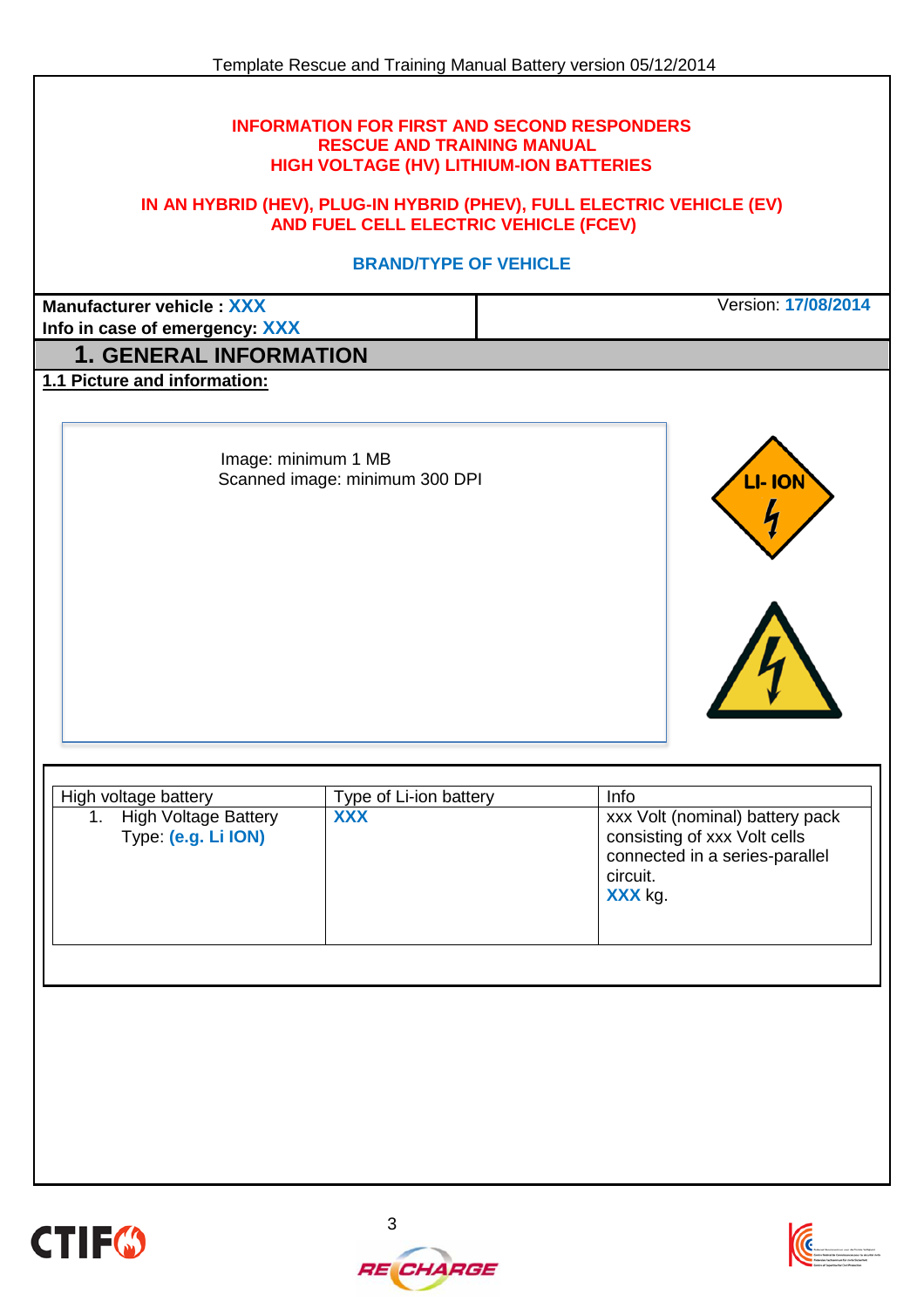#### **INFORMATION FOR FIRST AND SECOND RESPONDERS RESCUE AND TRAINING MANUAL HIGH VOLTAGE (HV) LITHIUM-ION BATTERIES**

#### **IN AN HYBRID (HEV), PLUG-IN HYBRID (PHEV), FULL ELECTRIC VEHICLE (EV) AND FUEL CELL ELECTRIC VEHICLE (FCEV)**

#### **BRAND/TYPE OF VEHICLE**

**Manufacturer vehicle : XXX**

Version: **17/08/2014**

**Info in case of emergency: XXX**

## **1. GENERAL INFORMATION**

**1.1 Picture and information:**

Image: minimum 1 MB Scanned image: minimum 300 DPI



| High voltage battery                               | Type of Li-ion battery | Info                                                                                                                     |
|----------------------------------------------------|------------------------|--------------------------------------------------------------------------------------------------------------------------|
| <b>High Voltage Battery</b><br>Type: (e.g. Li ION) | <b>XXX</b>             | xxx Volt (nominal) battery pack<br>consisting of xxx Volt cells<br>connected in a series-parallel<br>circuit.<br>XXX kg. |
|                                                    |                        |                                                                                                                          |





*RE CHARGE*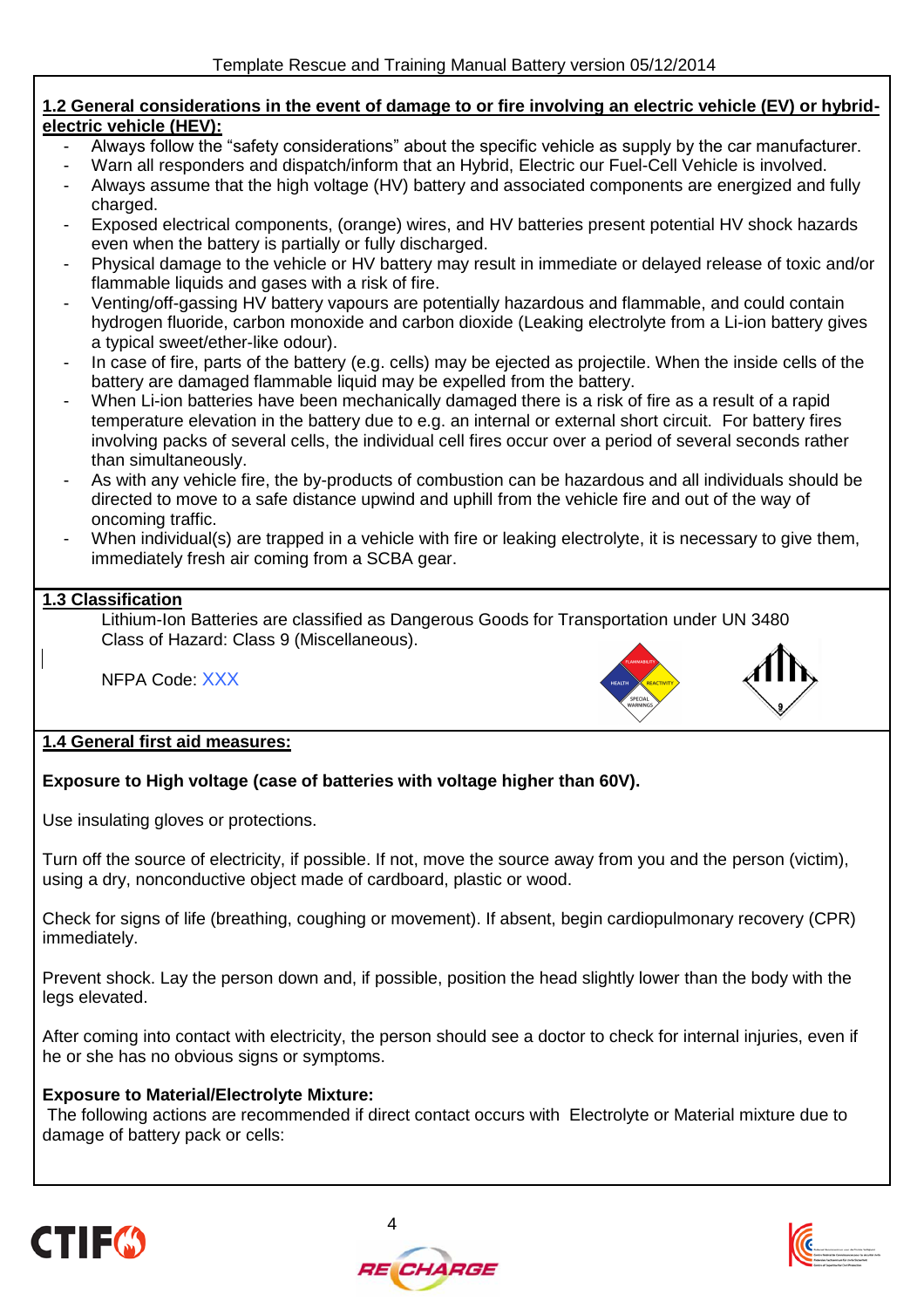#### **1.2 General considerations in the event of damage to or fire involving an electric vehicle (EV) or hybridelectric vehicle (HEV):**

- Always follow the "safety considerations" about the specific vehicle as supply by the car manufacturer.
- Warn all responders and dispatch/inform that an Hybrid, Electric our Fuel-Cell Vehicle is involved.
- Always assume that the high voltage (HV) battery and associated components are energized and fully charged.
- Exposed electrical components, (orange) wires, and HV batteries present potential HV shock hazards even when the battery is partially or fully discharged.
- Physical damage to the vehicle or HV battery may result in immediate or delayed release of toxic and/or flammable liquids and gases with a risk of fire.
- Venting/off-gassing HV battery vapours are potentially hazardous and flammable, and could contain hydrogen fluoride, carbon monoxide and carbon dioxide (Leaking electrolyte from a Li-ion battery gives a typical sweet/ether-like odour).
- In case of fire, parts of the battery (e.g. cells) may be ejected as projectile. When the inside cells of the battery are damaged flammable liquid may be expelled from the battery.
- When Li-ion batteries have been mechanically damaged there is a risk of fire as a result of a rapid temperature elevation in the battery due to e.g. an internal or external short circuit. For battery fires involving packs of several cells, the individual cell fires occur over a period of several seconds rather than simultaneously.
- As with any vehicle fire, the by-products of combustion can be hazardous and all individuals should be directed to move to a safe distance upwind and uphill from the vehicle fire and out of the way of oncoming traffic.
- When individual(s) are trapped in a vehicle with fire or leaking electrolyte, it is necessary to give them, immediately fresh air coming from a SCBA gear.

### **1.3 Classification**

Lithium-Ion Batteries are classified as Dangerous Goods for Transportation under UN 3480 Class of Hazard: Class 9 (Miscellaneous).

NFPA Code: XXX



#### **1.4 General first aid measures:**

### **Exposure to High voltage (case of batteries with voltage higher than 60V).**

Use insulating gloves or protections.

Turn off the source of electricity, if possible. If not, move the source away from you and the person (victim), using a dry, nonconductive object made of cardboard, plastic or wood.

Check for signs of life (breathing, coughing or movement). If absent, begin cardiopulmonary recovery (CPR) immediately.

Prevent shock. Lay the person down and, if possible, position the head slightly lower than the body with the legs elevated.

After coming into contact with electricity, the person should see a doctor to check for internal injuries, even if he or she has no obvious signs or symptoms.

#### **Exposure to Material/Electrolyte Mixture:**

The following actions are recommended if direct contact occurs with Electrolyte or Material mixture due to damage of battery pack or cells:





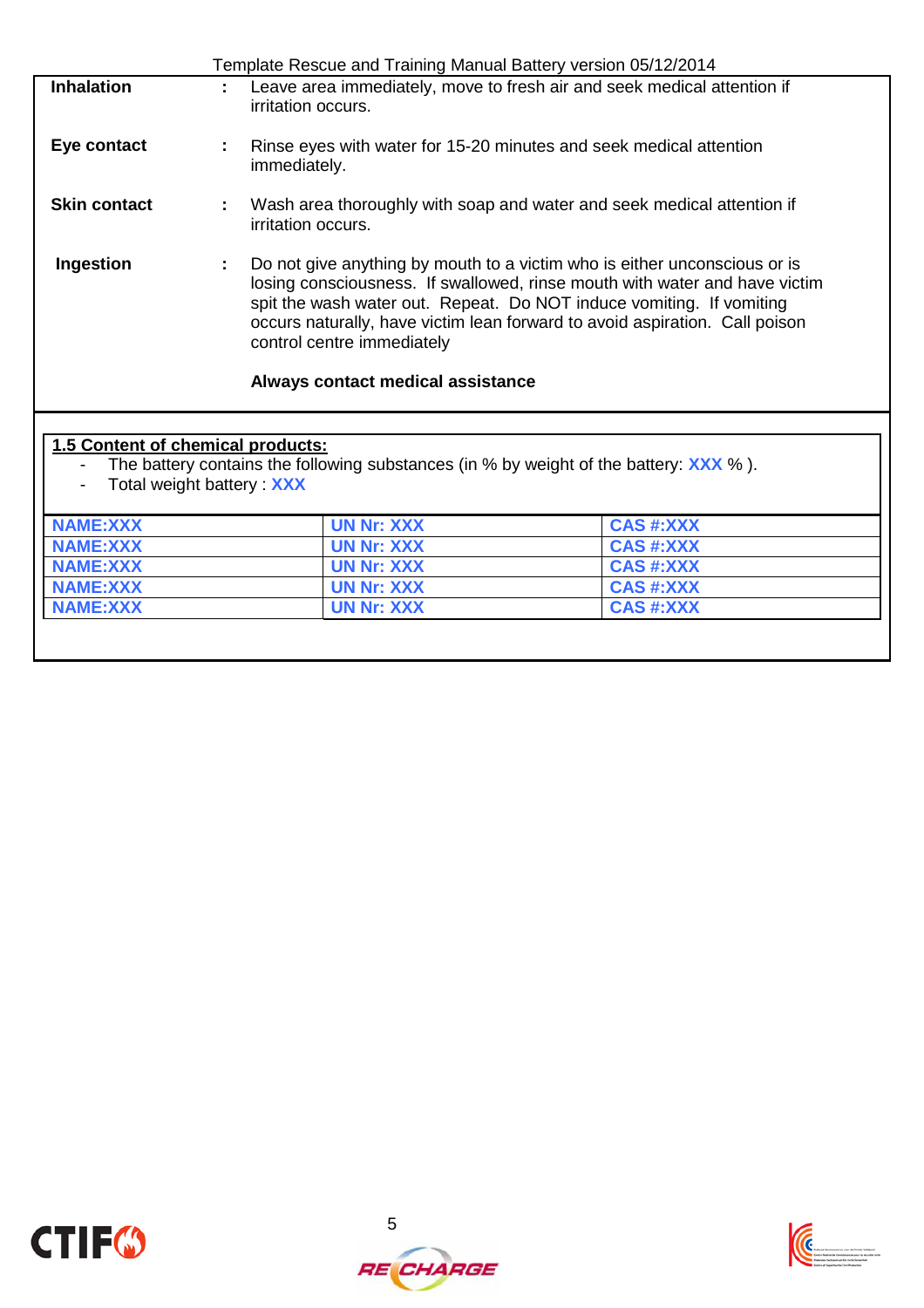|                                   |                                 |                                                                 | Template Rescue and Training Manual Battery version 05/12/2014                                                                                                                                                                                                                                                 |
|-----------------------------------|---------------------------------|-----------------------------------------------------------------|----------------------------------------------------------------------------------------------------------------------------------------------------------------------------------------------------------------------------------------------------------------------------------------------------------------|
| <b>Inhalation</b>                 |                                 | irritation occurs.                                              | Leave area immediately, move to fresh air and seek medical attention if                                                                                                                                                                                                                                        |
| Eye contact                       | ÷                               | immediately.                                                    | Rinse eyes with water for 15-20 minutes and seek medical attention                                                                                                                                                                                                                                             |
| <b>Skin contact</b>               | t                               | irritation occurs.                                              | Wash area thoroughly with soap and water and seek medical attention if                                                                                                                                                                                                                                         |
| Ingestion                         | ÷                               | control centre immediately<br>Always contact medical assistance | Do not give anything by mouth to a victim who is either unconscious or is<br>losing consciousness. If swallowed, rinse mouth with water and have victim<br>spit the wash water out. Repeat. Do NOT induce vomiting. If vomiting<br>occurs naturally, have victim lean forward to avoid aspiration. Call poison |
| 1.5 Content of chemical products: | Total weight battery <b>XXX</b> |                                                                 | The battery contains the following substances (in % by weight of the battery: $\overline{XXX}$ %).                                                                                                                                                                                                             |
| <b>NAME:XXX</b>                   |                                 | <b>UN Nr: XXX</b>                                               | <b>CAS #:XXX</b>                                                                                                                                                                                                                                                                                               |
| <b>NAME:XXX</b>                   |                                 | <b>UN Nr: XXX</b>                                               | <b>CAS #:XXX</b>                                                                                                                                                                                                                                                                                               |
| <b>NAME:XXX</b>                   |                                 | <b>UN Nr: XXX</b>                                               | <b>CAS #:XXX</b>                                                                                                                                                                                                                                                                                               |
| <b>NAME:XXX</b>                   |                                 | <b>UN Nr: XXX</b>                                               | <b>CAS #:XXX</b>                                                                                                                                                                                                                                                                                               |

**NAME:XXX UN Nr: XXX CAS #:XXX**



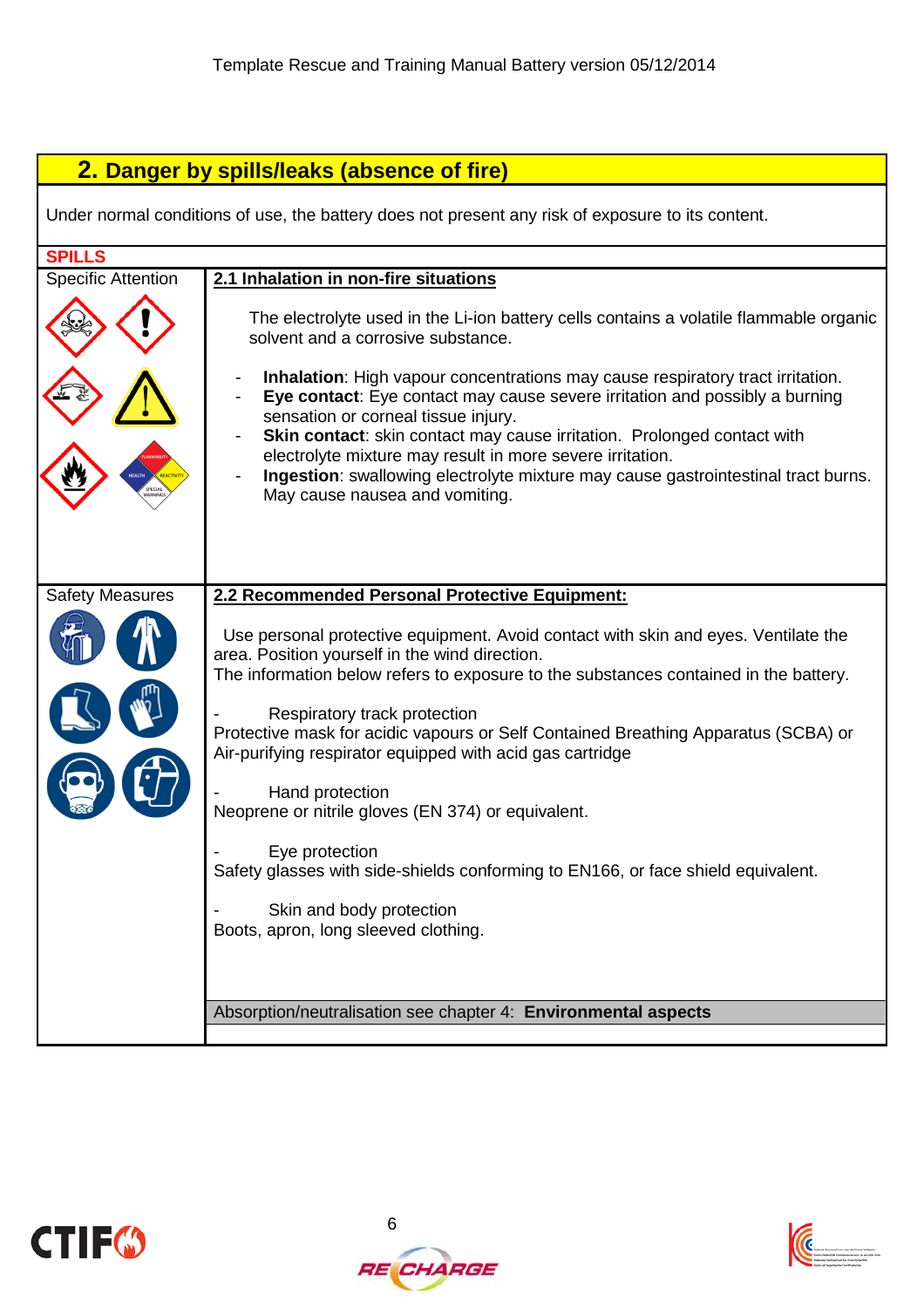# **2. Danger by spills/leaks (absence of fire)**

Under normal conditions of use, the battery does not present any risk of exposure to its content.

| <b>SPILLS</b>             |                                                                                                                                                                                                                                                                                                                                                                                                                                                                                                                                                                                                     |
|---------------------------|-----------------------------------------------------------------------------------------------------------------------------------------------------------------------------------------------------------------------------------------------------------------------------------------------------------------------------------------------------------------------------------------------------------------------------------------------------------------------------------------------------------------------------------------------------------------------------------------------------|
| <b>Specific Attention</b> | 2.1 Inhalation in non-fire situations                                                                                                                                                                                                                                                                                                                                                                                                                                                                                                                                                               |
|                           | The electrolyte used in the Li-ion battery cells contains a volatile flammable organic<br>solvent and a corrosive substance.<br>Inhalation: High vapour concentrations may cause respiratory tract irritation.<br>Eye contact: Eye contact may cause severe irritation and possibly a burning<br>sensation or corneal tissue injury.<br>Skin contact: skin contact may cause irritation. Prolonged contact with<br>electrolyte mixture may result in more severe irritation.<br>Ingestion: swallowing electrolyte mixture may cause gastrointestinal tract burns.<br>May cause nausea and vomiting. |
|                           |                                                                                                                                                                                                                                                                                                                                                                                                                                                                                                                                                                                                     |
| <b>Safety Measures</b>    | 2.2 Recommended Personal Protective Equipment:                                                                                                                                                                                                                                                                                                                                                                                                                                                                                                                                                      |
|                           | Use personal protective equipment. Avoid contact with skin and eyes. Ventilate the<br>area. Position yourself in the wind direction.<br>The information below refers to exposure to the substances contained in the battery.<br>Respiratory track protection<br>Protective mask for acidic vapours or Self Contained Breathing Apparatus (SCBA) or<br>Air-purifying respirator equipped with acid gas cartridge<br>Hand protection                                                                                                                                                                  |
|                           | Neoprene or nitrile gloves (EN 374) or equivalent.                                                                                                                                                                                                                                                                                                                                                                                                                                                                                                                                                  |
|                           | Eye protection<br>Safety glasses with side-shields conforming to EN166, or face shield equivalent.                                                                                                                                                                                                                                                                                                                                                                                                                                                                                                  |
|                           | Skin and body protection<br>Boots, apron, long sleeved clothing.                                                                                                                                                                                                                                                                                                                                                                                                                                                                                                                                    |
|                           | Absorption/neutralisation see chapter 4: Environmental aspects                                                                                                                                                                                                                                                                                                                                                                                                                                                                                                                                      |







**RE CHARGE**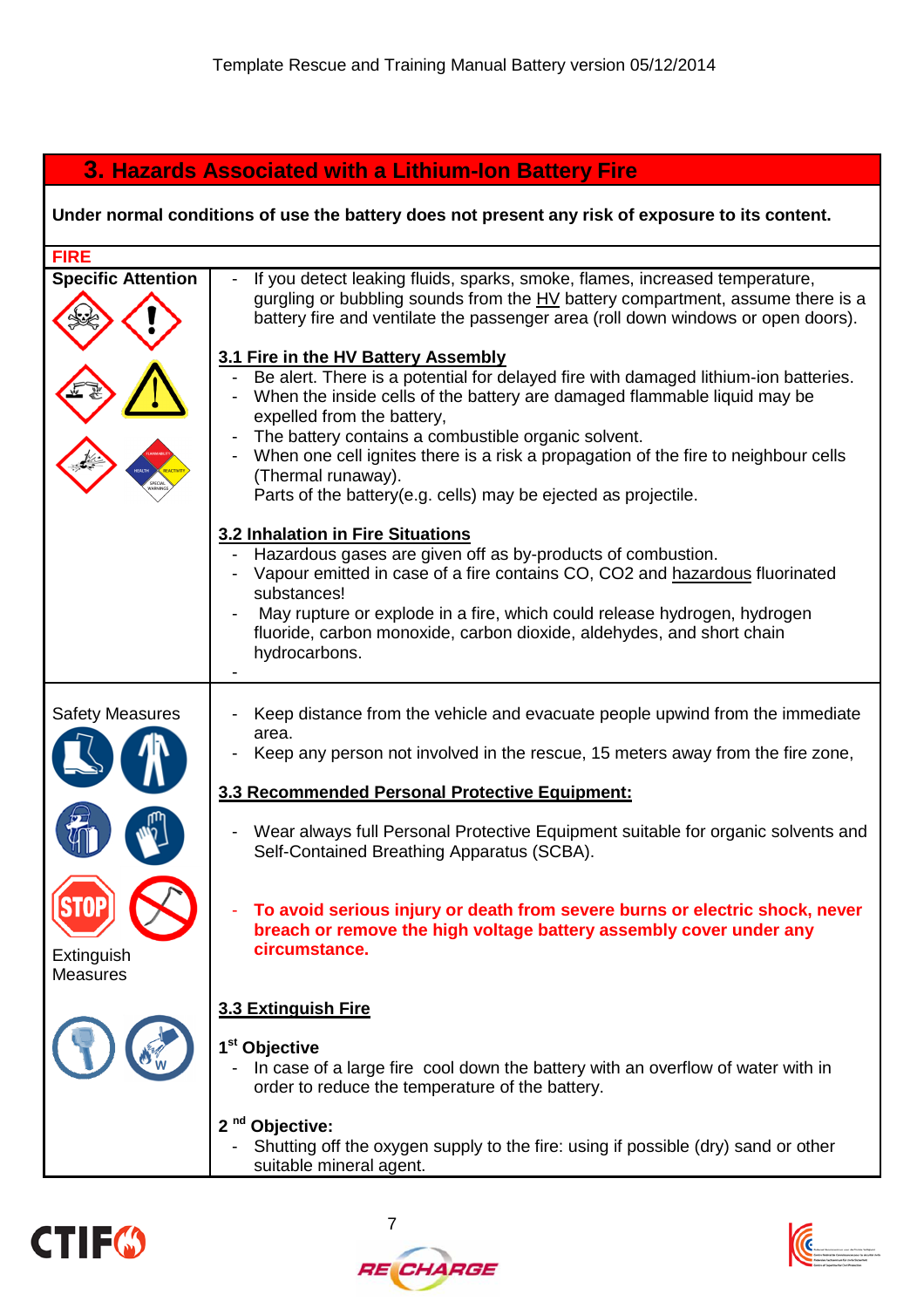# **3. Hazards Associated with a Lithium-Ion Battery Fire**

## **Under normal conditions of use the battery does not present any risk of exposure to its content.**

| <b>FIRE</b>                   |                                                                                                                                                                                                                                                                                                                                                                                                                                                                                             |
|-------------------------------|---------------------------------------------------------------------------------------------------------------------------------------------------------------------------------------------------------------------------------------------------------------------------------------------------------------------------------------------------------------------------------------------------------------------------------------------------------------------------------------------|
| <b>Specific Attention</b>     | If you detect leaking fluids, sparks, smoke, flames, increased temperature,<br>gurgling or bubbling sounds from the $HV$ battery compartment, assume there is a<br>battery fire and ventilate the passenger area (roll down windows or open doors).<br>3.1 Fire in the HV Battery Assembly<br>Be alert. There is a potential for delayed fire with damaged lithium-ion batteries.<br>When the inside cells of the battery are damaged flammable liquid may be<br>expelled from the battery, |
|                               | The battery contains a combustible organic solvent.<br>When one cell ignites there is a risk a propagation of the fire to neighbour cells<br>(Thermal runaway).<br>Parts of the battery(e.g. cells) may be ejected as projectile.                                                                                                                                                                                                                                                           |
|                               | 3.2 Inhalation in Fire Situations<br>Hazardous gases are given off as by-products of combustion.<br>Vapour emitted in case of a fire contains CO, CO2 and hazardous fluorinated<br>substances!<br>May rupture or explode in a fire, which could release hydrogen, hydrogen<br>fluoride, carbon monoxide, carbon dioxide, aldehydes, and short chain<br>hydrocarbons.                                                                                                                        |
| <b>Safety Measures</b>        | Keep distance from the vehicle and evacuate people upwind from the immediate<br>area.                                                                                                                                                                                                                                                                                                                                                                                                       |
|                               | Keep any person not involved in the rescue, 15 meters away from the fire zone,                                                                                                                                                                                                                                                                                                                                                                                                              |
|                               | 3.3 Recommended Personal Protective Equipment:                                                                                                                                                                                                                                                                                                                                                                                                                                              |
|                               | Wear always full Personal Protective Equipment suitable for organic solvents and<br>Self-Contained Breathing Apparatus (SCBA).                                                                                                                                                                                                                                                                                                                                                              |
| Extinguish<br><b>Measures</b> | To avoid serious injury or death from severe burns or electric shock, never<br>breach or remove the high voltage battery assembly cover under any<br>circumstance.                                                                                                                                                                                                                                                                                                                          |
|                               | 3.3 Extinguish Fire                                                                                                                                                                                                                                                                                                                                                                                                                                                                         |
|                               | 1 <sup>st</sup> Objective<br>In case of a large fire cool down the battery with an overflow of water with in<br>order to reduce the temperature of the battery.                                                                                                                                                                                                                                                                                                                             |
|                               | 2 <sup>nd</sup> Objective:<br>Shutting off the oxygen supply to the fire: using if possible (dry) sand or other<br>suitable mineral agent.                                                                                                                                                                                                                                                                                                                                                  |





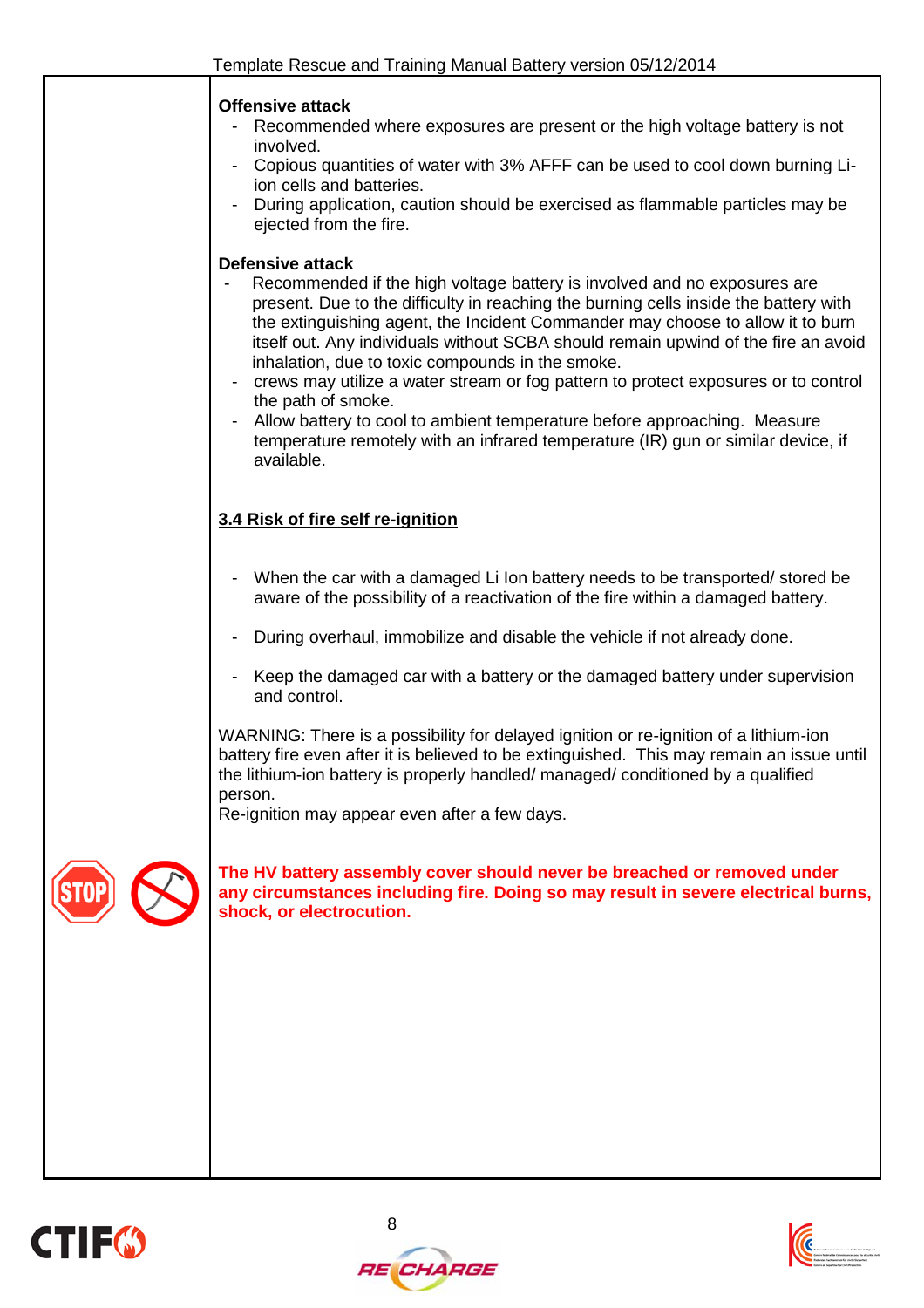





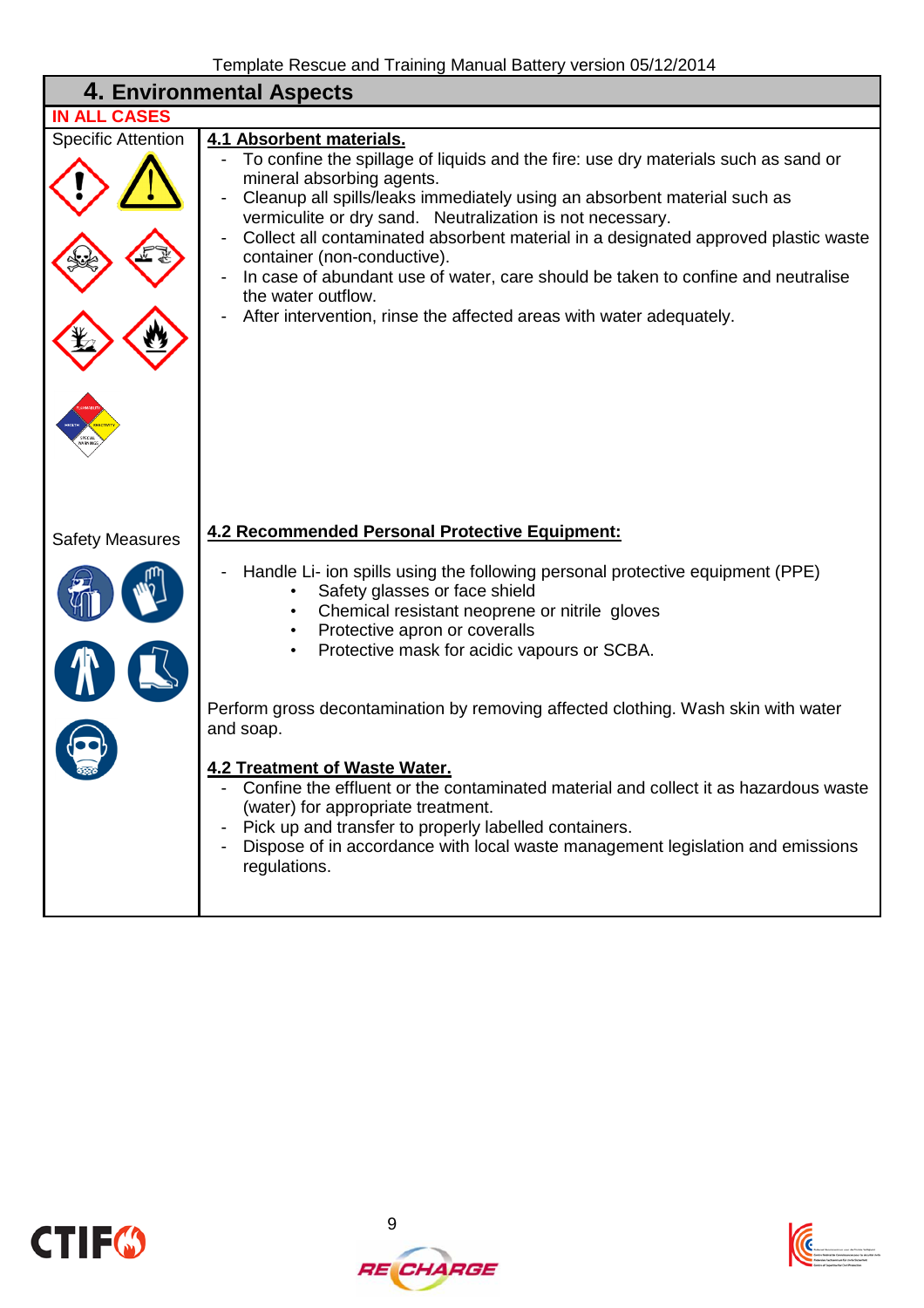|                           | 4. Environmental Aspects                                                                                                                                                                                                                                                                                                                                                                                                                                                                                                                                                                                                                                                         |
|---------------------------|----------------------------------------------------------------------------------------------------------------------------------------------------------------------------------------------------------------------------------------------------------------------------------------------------------------------------------------------------------------------------------------------------------------------------------------------------------------------------------------------------------------------------------------------------------------------------------------------------------------------------------------------------------------------------------|
| <b>IN ALL CASES</b>       |                                                                                                                                                                                                                                                                                                                                                                                                                                                                                                                                                                                                                                                                                  |
| <b>Specific Attention</b> | 4.1 Absorbent materials.<br>To confine the spillage of liquids and the fire: use dry materials such as sand or<br>mineral absorbing agents.<br>Cleanup all spills/leaks immediately using an absorbent material such as<br>vermiculite or dry sand. Neutralization is not necessary.<br>Collect all contaminated absorbent material in a designated approved plastic waste<br>container (non-conductive).<br>In case of abundant use of water, care should be taken to confine and neutralise<br>the water outflow.<br>After intervention, rinse the affected areas with water adequately.                                                                                       |
|                           | 4.2 Recommended Personal Protective Equipment:                                                                                                                                                                                                                                                                                                                                                                                                                                                                                                                                                                                                                                   |
| <b>Safety Measures</b>    | Handle Li- ion spills using the following personal protective equipment (PPE)<br>Safety glasses or face shield<br>Chemical resistant neoprene or nitrile gloves<br>Protective apron or coveralls<br>Protective mask for acidic vapours or SCBA.<br>Perform gross decontamination by removing affected clothing. Wash skin with water<br>and soap.<br><b>4.2 Treatment of Waste Water</b><br>Confine the effluent or the contaminated material and collect it as hazardous waste<br>(water) for appropriate treatment.<br>Pick up and transfer to properly labelled containers.<br>Dispose of in accordance with local waste management legislation and emissions<br>regulations. |





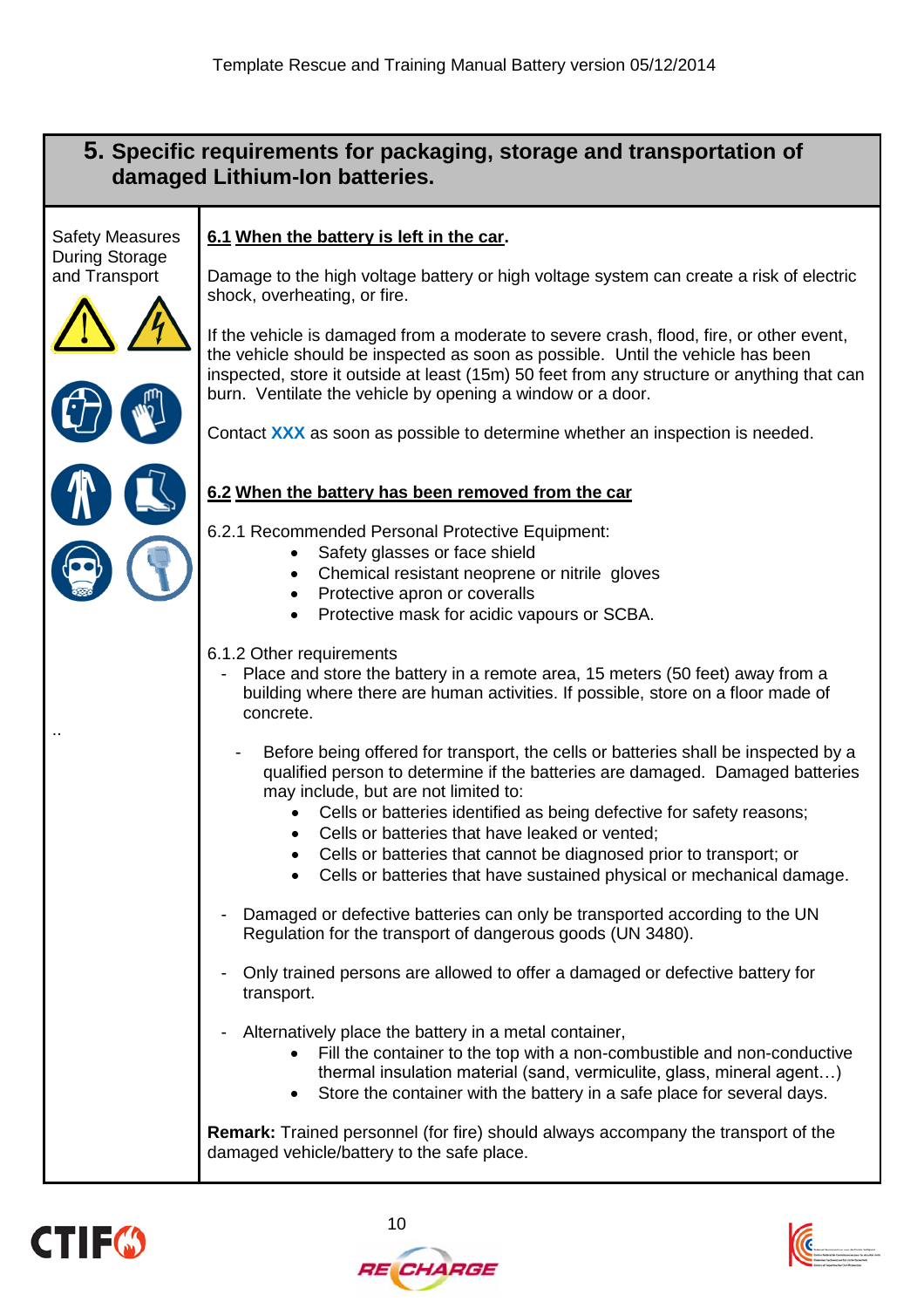## **5. Specific requirements for packaging, storage and transportation of damaged Lithium-Ion batteries.**

Safety Measures During Storage and Transport

#### **6.1 When the battery is left in the car.**

Damage to the high voltage battery or high voltage system can create a risk of electric shock, overheating, or fire.

If the vehicle is damaged from a moderate to severe crash, flood, fire, or other event, the vehicle should be inspected as soon as possible. Until the vehicle has been inspected, store it outside at least (15m) 50 feet from any structure or anything that can burn. Ventilate the vehicle by opening a window or a door.

Contact **XXX** as soon as possible to determine whether an inspection is needed.

#### **6.2 When the battery has been removed from the car**

6.2.1 Recommended Personal Protective Equipment:

- Safety glasses or face shield
- Chemical resistant neoprene or nitrile gloves
- Protective apron or coveralls
- Protective mask for acidic vapours or SCBA.

#### 6.1.2 Other requirements

- Place and store the battery in a remote area, 15 meters (50 feet) away from a building where there are human activities. If possible, store on a floor made of concrete.
	- Before being offered for transport, the cells or batteries shall be inspected by a qualified person to determine if the batteries are damaged. Damaged batteries may include, but are not limited to:
		- Cells or batteries identified as being defective for safety reasons;
		- Cells or batteries that have leaked or vented:
		- Cells or batteries that cannot be diagnosed prior to transport; or
		- Cells or batteries that have sustained physical or mechanical damage.
- Damaged or defective batteries can only be transported according to the UN Regulation for the transport of dangerous goods (UN 3480).
- Only trained persons are allowed to offer a damaged or defective battery for transport.
- Alternatively place the battery in a metal container,
	- Fill the container to the top with a non-combustible and non-conductive thermal insulation material (sand, vermiculite, glass, mineral agent…)
	- Store the container with the battery in a safe place for several days.

**Remark:** Trained personnel (for fire) should always accompany the transport of the damaged vehicle/battery to the safe place.



..



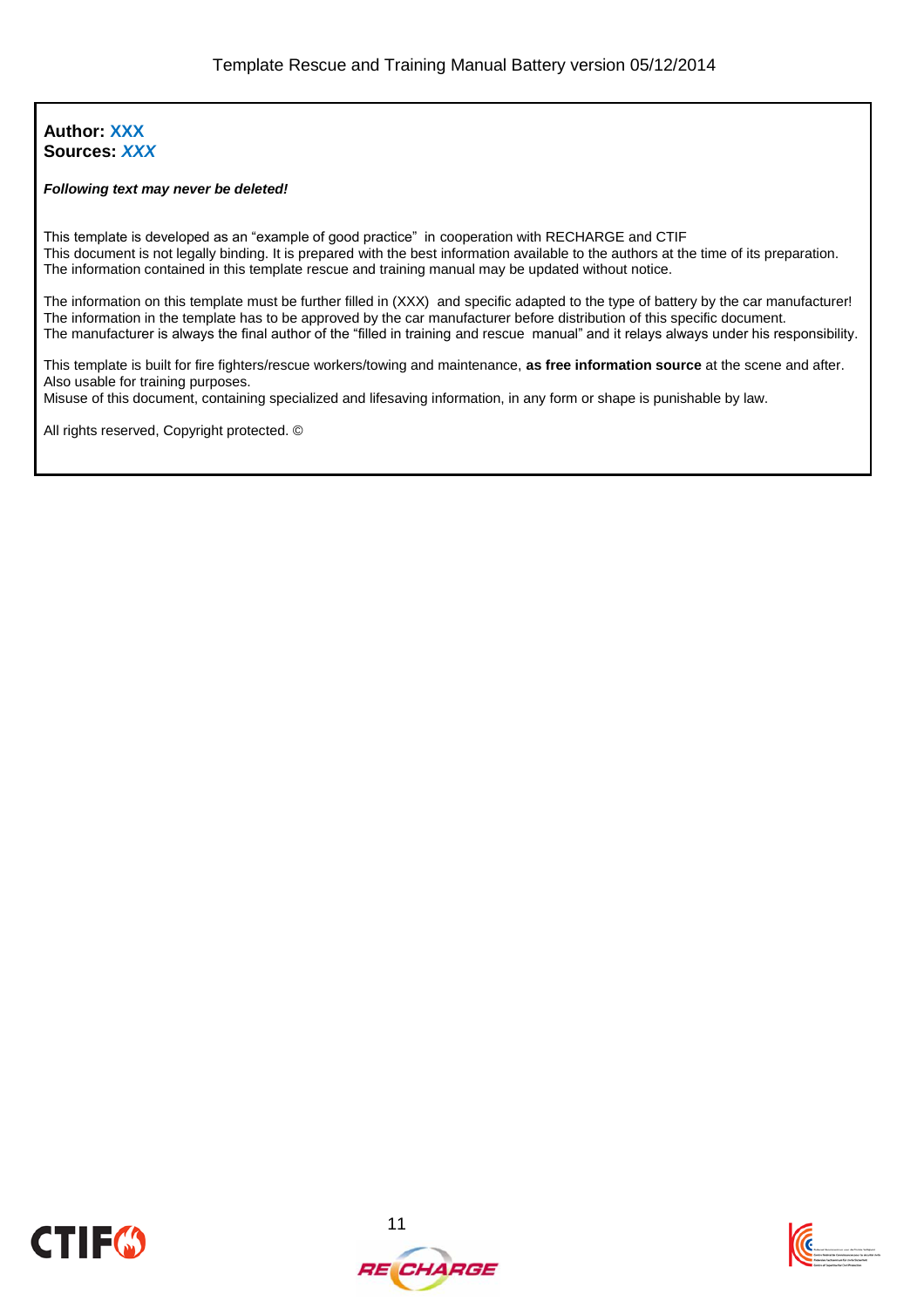#### **Author: XXX Sources:** *XXX*

#### *Following text may never be deleted!*

This template is developed as an "example of good practice" in cooperation with RECHARGE and CTIF This document is not legally binding. It is prepared with the best information available to the authors at the time of its preparation. The information contained in this template rescue and training manual may be updated without notice.

The information on this template must be further filled in (XXX) and specific adapted to the type of battery by the car manufacturer! The information in the template has to be approved by the car manufacturer before distribution of this specific document. The manufacturer is always the final author of the "filled in training and rescue manual" and it relays always under his responsibility.

This template is built for fire fighters/rescue workers/towing and maintenance, **as free information source** at the scene and after. Also usable for training purposes.

Misuse of this document, containing specialized and lifesaving information, in any form or shape is punishable by law.

All rights reserved, Copyright protected. ©





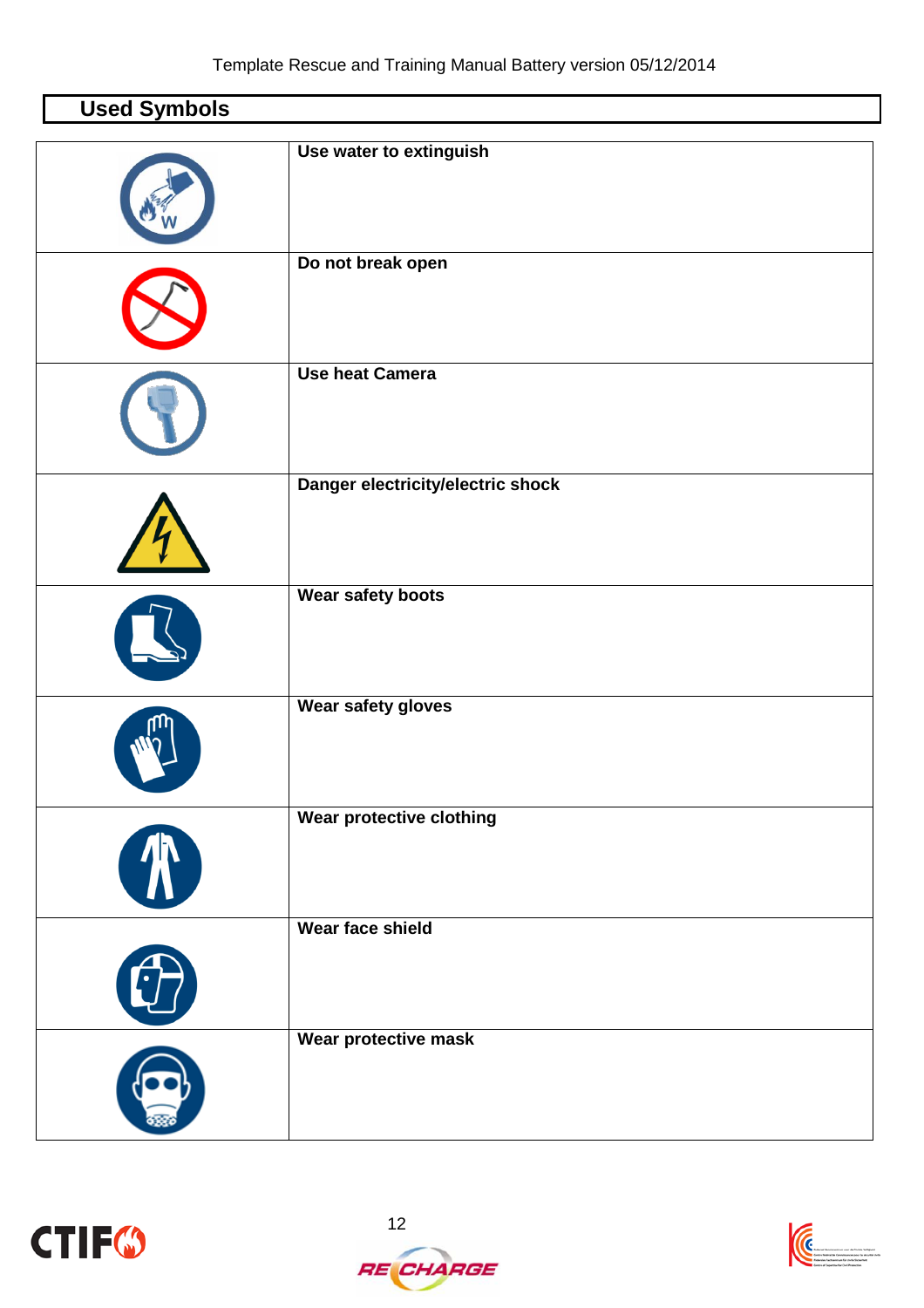| <b>Used Symbols</b>         |                                   |
|-----------------------------|-----------------------------------|
|                             | Use water to extinguish           |
|                             | Do not break open                 |
|                             | <b>Use heat Camera</b>            |
|                             | Danger electricity/electric shock |
|                             | Wear safety boots                 |
|                             | Wear safety gloves                |
| $\left( \mathcal{R}\right)$ | Wear protective clothing          |
| 0                           | Wear face shield                  |
|                             | Wear protective mask              |



 $\Gamma$ 



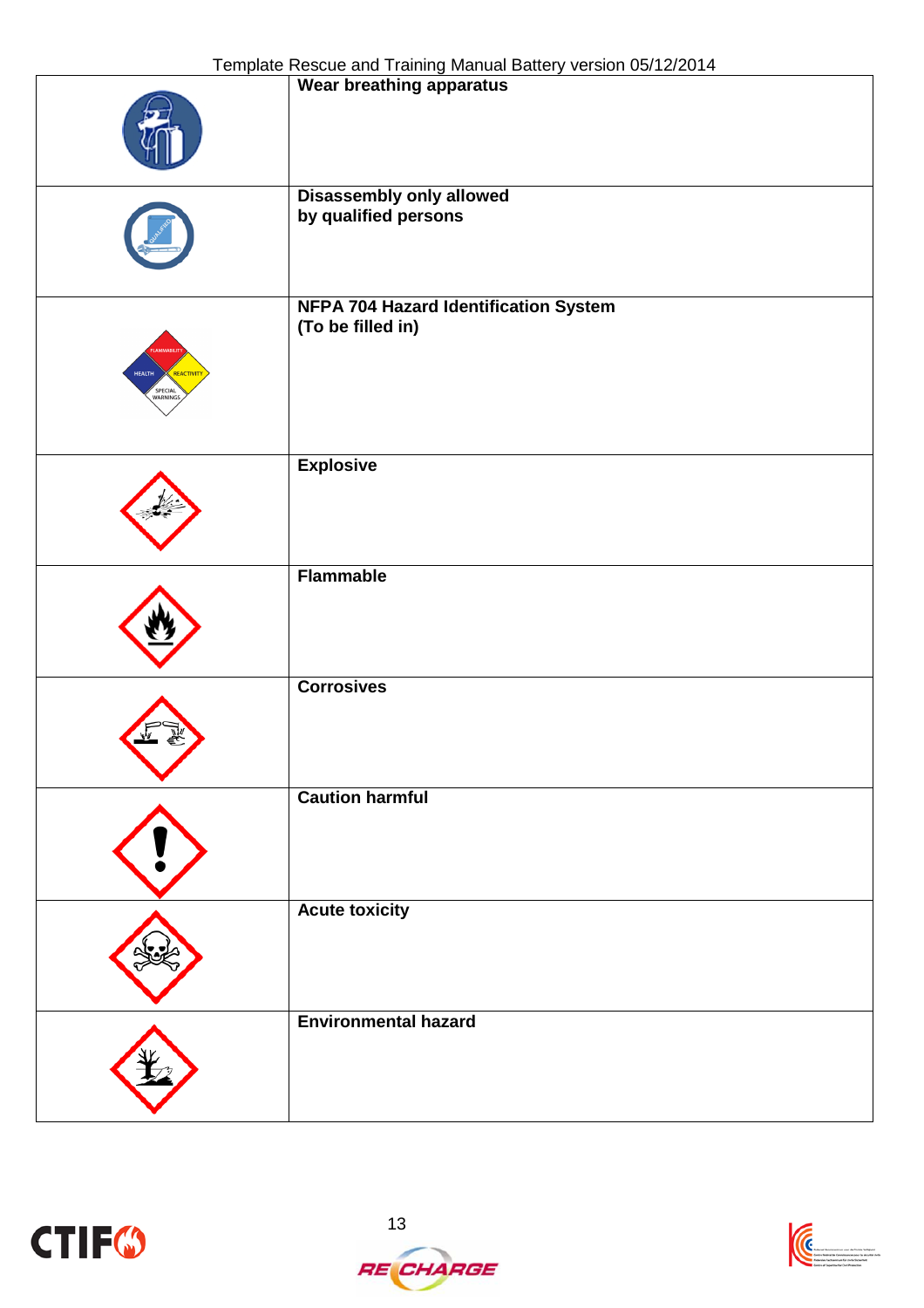|                                        | Wear breathing apparatus                                          |
|----------------------------------------|-------------------------------------------------------------------|
|                                        | <b>Disassembly only allowed</b><br>by qualified persons           |
| <b>HEALTH</b><br>REACTIVITY<br>SPECIAL | <b>NFPA 704 Hazard Identification System</b><br>(To be filled in) |
|                                        | <b>Explosive</b>                                                  |
|                                        | <b>Flammable</b>                                                  |
|                                        | <b>Corrosives</b>                                                 |
|                                        | <b>Caution harmful</b>                                            |
|                                        | <b>Acute toxicity</b>                                             |
|                                        | <b>Environmental hazard</b>                                       |



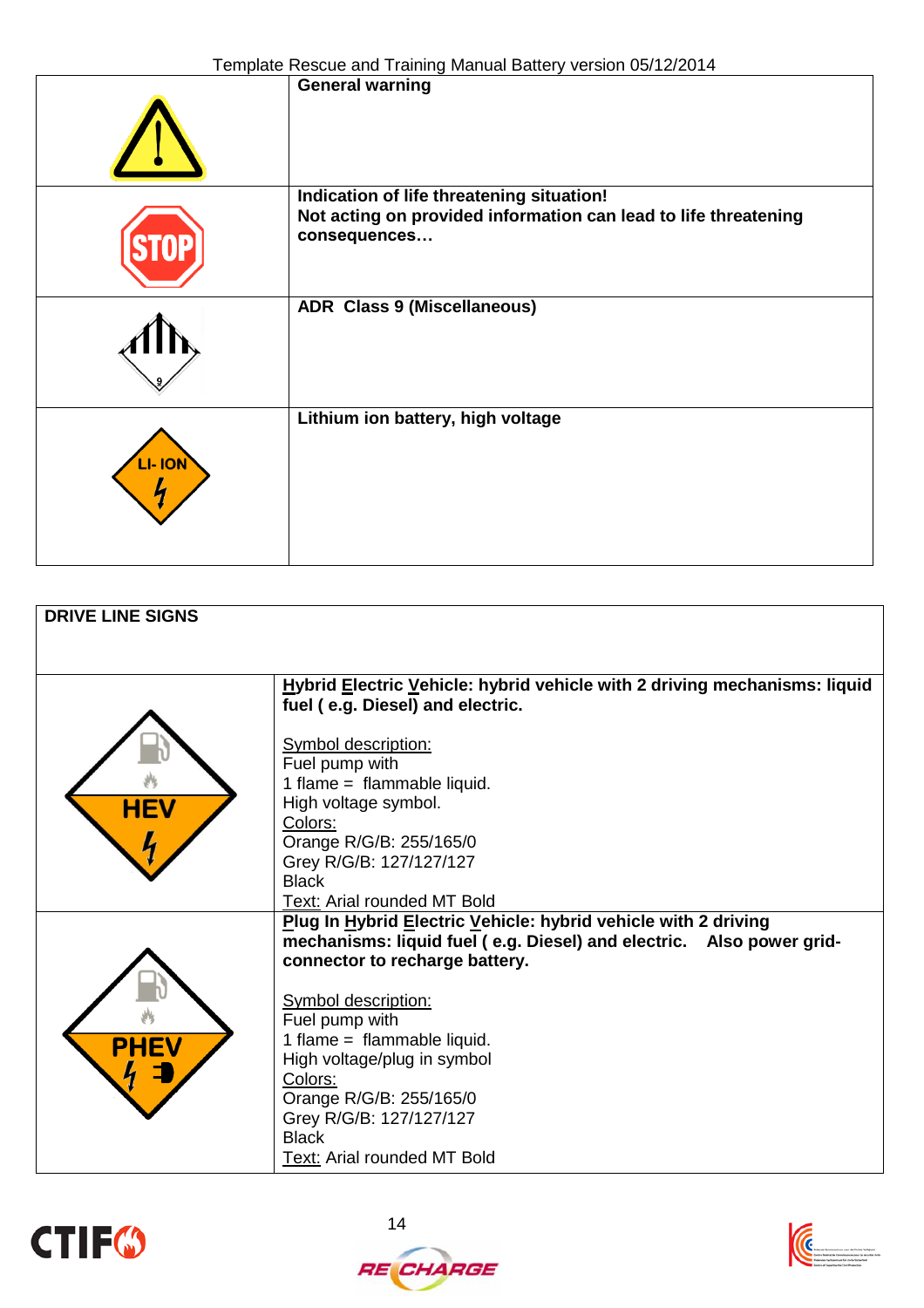|       | <b>Femplate Rescue and Training Manual Dattery Version Co/TZ/Z014</b>                                                        |
|-------|------------------------------------------------------------------------------------------------------------------------------|
|       | <b>General warning</b>                                                                                                       |
|       | Indication of life threatening situation!<br>Not acting on provided information can lead to life threatening<br>consequences |
|       | <b>ADR Class 9 (Miscellaneous)</b>                                                                                           |
| - ION | Lithium ion battery, high voltage                                                                                            |

| <b>DRIVE LINE SIGNS</b> |                                                                                                                                        |
|-------------------------|----------------------------------------------------------------------------------------------------------------------------------------|
|                         |                                                                                                                                        |
|                         |                                                                                                                                        |
|                         | Hybrid Electric Vehicle: hybrid vehicle with 2 driving mechanisms: liquid                                                              |
|                         | fuel (e.g. Diesel) and electric.                                                                                                       |
|                         | Symbol description:                                                                                                                    |
|                         | Fuel pump with                                                                                                                         |
|                         | 1 flame = flammable liquid.                                                                                                            |
|                         | High voltage symbol.                                                                                                                   |
|                         | Colors:                                                                                                                                |
|                         | Orange R/G/B: 255/165/0                                                                                                                |
|                         | Grey R/G/B: 127/127/127                                                                                                                |
|                         | <b>Black</b>                                                                                                                           |
|                         | Text: Arial rounded MT Bold                                                                                                            |
|                         | Plug In Hybrid Electric Vehicle: hybrid vehicle with 2 driving<br>mechanisms: liquid fuel (e.g. Diesel) and electric. Also power grid- |
|                         | connector to recharge battery.                                                                                                         |
|                         |                                                                                                                                        |
|                         | Symbol description:                                                                                                                    |
|                         | Fuel pump with                                                                                                                         |
| <b>PHEV</b>             | 1 flame = flammable liquid.                                                                                                            |
|                         | High voltage/plug in symbol                                                                                                            |
|                         | Colors:                                                                                                                                |
|                         | Orange R/G/B: 255/165/0                                                                                                                |
|                         | Grey R/G/B: 127/127/127                                                                                                                |
|                         | <b>Black</b>                                                                                                                           |
|                         | Text: Arial rounded MT Bold                                                                                                            |